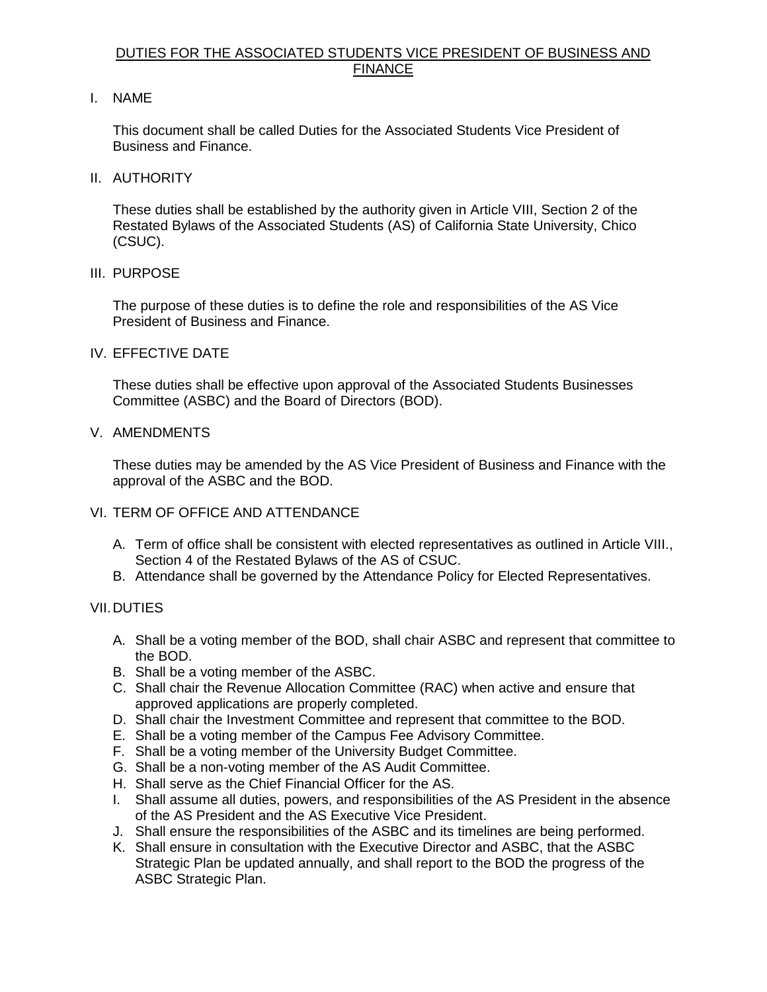## DUTIES FOR THE ASSOCIATED STUDENTS VICE PRESIDENT OF BUSINESS AND FINANCE

I. NAME

 This document shall be called Duties for the Associated Students Vice President of Business and Finance.

II. AUTHORITY

 These duties shall be established by the authority given in Article VIII, Section 2 of the Restated Bylaws of the Associated Students (AS) of California State University, Chico (CSUC).

III. PURPOSE

 The purpose of these duties is to define the role and responsibilities of the AS Vice President of Business and Finance.

IV. EFFECTIVE DATE

 These duties shall be effective upon approval of the Associated Students Businesses Committee (ASBC) and the Board of Directors (BOD).

V. AMENDMENTS

 These duties may be amended by the AS Vice President of Business and Finance with the approval of the ASBC and the BOD.

## VI. TERM OF OFFICE AND ATTENDANCE

- A. Term of office shall be consistent with elected representatives as outlined in Article VIII., Section 4 of the Restated Bylaws of the AS of CSUC.
- B. Attendance shall be governed by the Attendance Policy for Elected Representatives.

## VII.DUTIES

- A. Shall be a voting member of the BOD, shall chair ASBC and represent that committee to the BOD.
- B. Shall be a voting member of the ASBC.
- C. Shall chair the Revenue Allocation Committee (RAC) when active and ensure that approved applications are properly completed.
- D. Shall chair the Investment Committee and represent that committee to the BOD.
- E. Shall be a voting member of the Campus Fee Advisory Committee.
- F. Shall be a voting member of the University Budget Committee.
- G. Shall be a non-voting member of the AS Audit Committee.
- H. Shall serve as the Chief Financial Officer for the AS.
- I. Shall assume all duties, powers, and responsibilities of the AS President in the absence of the AS President and the AS Executive Vice President.
- J. Shall ensure the responsibilities of the ASBC and its timelines are being performed.
- K. Shall ensure in consultation with the Executive Director and ASBC, that the ASBC Strategic Plan be updated annually, and shall report to the BOD the progress of the ASBC Strategic Plan.